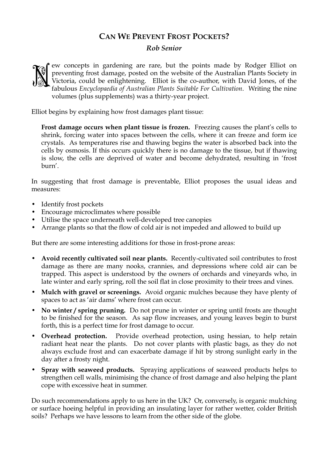## **CAN WE PREVENT FROST POCKETS?**

## *Rob Senior*



Elliot begins by explaining how frost damages plant tissue:

**Frost damage occurs when plant tissue is frozen.** Freezing causes the plant's cells to shrink, forcing water into spaces between the cells, where it can freeze and form ice crystals. As temperatures rise and thawing begins the water is absorbed back into the cells by osmosis. If this occurs quickly there is no damage to the tissue, but if thawing is slow, the cells are deprived of water and become dehydrated, resulting in 'frost burn'.

In suggesting that frost damage is preventable, Elliot proposes the usual ideas and measures:

- Identify frost pockets
- Encourage microclimates where possible
- Utilise the space underneath well-developed tree canopies
- Arrange plants so that the flow of cold air is not impeded and allowed to build up

But there are some interesting additions for those in frost-prone areas:

- **Avoid recently cultivated soil near plants.** Recently-cultivated soil contributes to frost damage as there are many nooks, crannies, and depressions where cold air can be trapped. This aspect is understood by the owners of orchards and vineyards who, in late winter and early spring, roll the soil flat in close proximity to their trees and vines.
- **Mulch with gravel or screenings.** Avoid organic mulches because they have plenty of spaces to act as 'air dams' where frost can occur.
- **No winter / spring pruning.** Do not prune in winter or spring until frosts are thought to be finished for the season. As sap flow increases, and young leaves begin to burst forth, this is a perfect time for frost damage to occur.
- **Overhead protection.** Provide overhead protection, using hessian, to help retain radiant heat near the plants. Do not cover plants with plastic bags, as they do not always exclude frost and can exacerbate damage if hit by strong sunlight early in the day after a frosty night.
- **Spray with seaweed products.** Spraying applications of seaweed products helps to strengthen cell walls, minimising the chance of frost damage and also helping the plant cope with excessive heat in summer.

Do such recommendations apply to us here in the UK? Or, conversely, is organic mulching or surface hoeing helpful in providing an insulating layer for rather wetter, colder British soils? Perhaps we have lessons to learn from the other side of the globe.